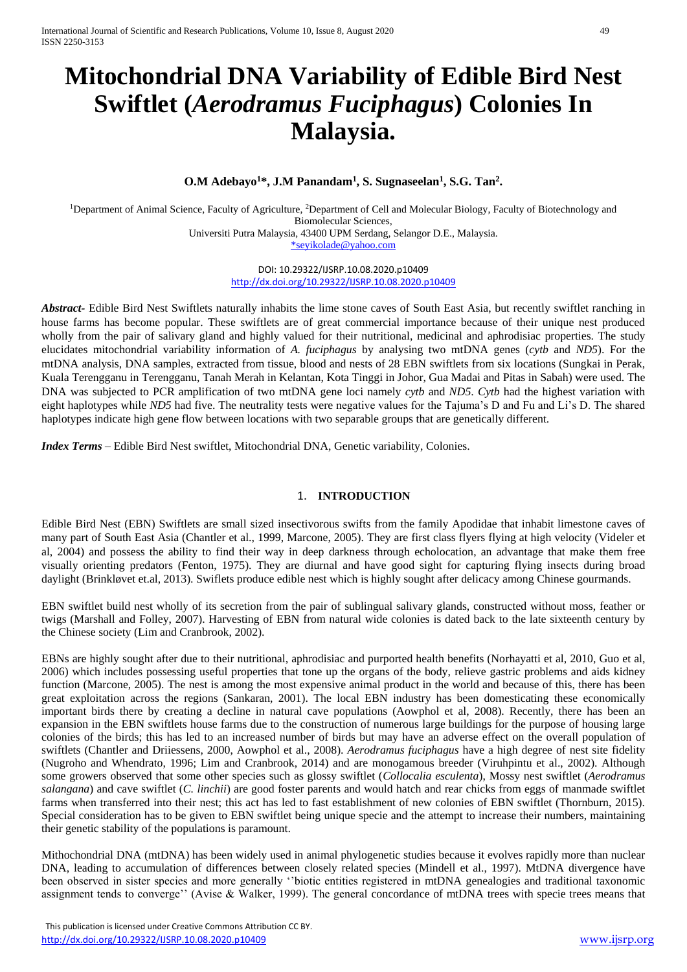# **Mitochondrial DNA Variability of Edible Bird Nest Swiftlet (***Aerodramus Fuciphagus***) Colonies In Malaysia.**

# **O.M Adebayo<sup>1</sup>\*, J.M Panandam<sup>1</sup> , S. Sugnaseelan<sup>1</sup> , S.G. Tan<sup>2</sup> .**

<sup>1</sup>Department of Animal Science, Faculty of Agriculture, <sup>2</sup>Department of Cell and Molecular Biology, Faculty of Biotechnology and Biomolecular Sciences,

Universiti Putra Malaysia, 43400 UPM Serdang, Selangor D.E., Malaysia. [\\*seyikolade@yahoo.com](mailto:*seyikolade@yahoo.com)

> DOI: 10.29322/IJSRP.10.08.2020.p10409 <http://dx.doi.org/10.29322/IJSRP.10.08.2020.p10409>

*Abstract-* Edible Bird Nest Swiftlets naturally inhabits the lime stone caves of South East Asia, but recently swiftlet ranching in house farms has become popular. These swiftlets are of great commercial importance because of their unique nest produced wholly from the pair of salivary gland and highly valued for their nutritional, medicinal and aphrodisiac properties. The study elucidates mitochondrial variability information of *A. fuciphagus* by analysing two mtDNA genes (*cytb* and *ND5*). For the mtDNA analysis, DNA samples, extracted from tissue, blood and nests of 28 EBN swiftlets from six locations (Sungkai in Perak, Kuala Terengganu in Terengganu, Tanah Merah in Kelantan, Kota Tinggi in Johor, Gua Madai and Pitas in Sabah) were used. The DNA was subjected to PCR amplification of two mtDNA gene loci namely *cytb* and *ND5*. *Cytb* had the highest variation with eight haplotypes while *ND5* had five. The neutrality tests were negative values for the Tajuma's D and Fu and Li's D. The shared haplotypes indicate high gene flow between locations with two separable groups that are genetically different.

*Index Terms* – Edible Bird Nest swiftlet, Mitochondrial DNA, Genetic variability, Colonies.

#### 1. **INTRODUCTION**

Edible Bird Nest (EBN) Swiftlets are small sized insectivorous swifts from the family Apodidae that inhabit limestone caves of many part of South East Asia (Chantler et al., 1999, Marcone, 2005). They are first class flyers flying at high velocity (Videler et al, 2004) and possess the ability to find their way in deep darkness through echolocation, an advantage that make them free visually orienting predators (Fenton, 1975). They are diurnal and have good sight for capturing flying insects during broad daylight (Brinkløvet et.al, 2013). Swiflets produce edible nest which is highly sought after delicacy among Chinese gourmands.

EBN swiftlet build nest wholly of its secretion from the pair of sublingual salivary glands, constructed without moss, feather or twigs (Marshall and Folley, 2007). Harvesting of EBN from natural wide colonies is dated back to the late sixteenth century by the Chinese society (Lim and Cranbrook, 2002).

EBNs are highly sought after due to their nutritional, aphrodisiac and purported health benefits (Norhayatti et al, 2010, Guo et al, 2006) which includes possessing useful properties that tone up the organs of the body, relieve gastric problems and aids kidney function (Marcone, 2005). The nest is among the most expensive animal product in the world and because of this, there has been great exploitation across the regions (Sankaran, 2001). The local EBN industry has been domesticating these economically important birds there by creating a decline in natural cave populations (Aowphol et al, 2008). Recently, there has been an expansion in the EBN swiftlets house farms due to the construction of numerous large buildings for the purpose of housing large colonies of the birds; this has led to an increased number of birds but may have an adverse effect on the overall population of swiftlets (Chantler and Driiessens, 2000, Aowphol et al., 2008). *Aerodramus fuciphagus* have a high degree of nest site fidelity (Nugroho and Whendrato, 1996; Lim and Cranbrook, 2014) and are monogamous breeder (Viruhpintu et al., 2002). Although some growers observed that some other species such as glossy swiftlet (*Collocalia esculenta*), Mossy nest swiftlet (*Aerodramus salangana*) and cave swiftlet (*C. linchii*) are good foster parents and would hatch and rear chicks from eggs of manmade swiftlet farms when transferred into their nest; this act has led to fast establishment of new colonies of EBN swiftlet (Thornburn, 2015). Special consideration has to be given to EBN swiftlet being unique specie and the attempt to increase their numbers, maintaining their genetic stability of the populations is paramount.

Mithochondrial DNA (mtDNA) has been widely used in animal phylogenetic studies because it evolves rapidly more than nuclear DNA, leading to accumulation of differences between closely related species (Mindell et al., 1997). MtDNA divergence have been observed in sister species and more generally ''biotic entities registered in mtDNA genealogies and traditional taxonomic assignment tends to converge'' (Avise & Walker, 1999). The general concordance of mtDNA trees with specie trees means that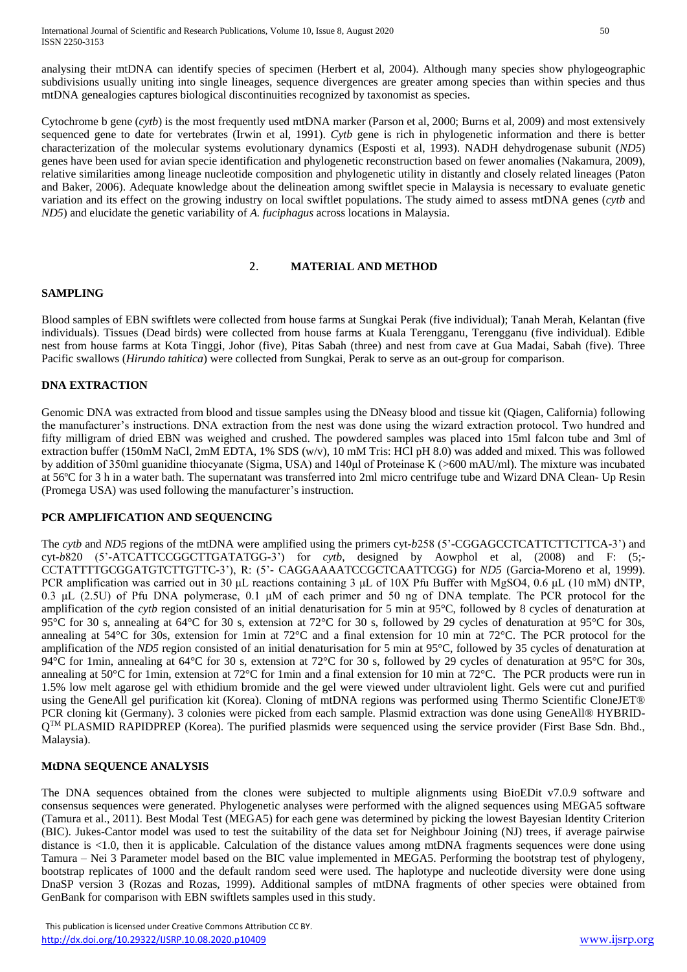International Journal of Scientific and Research Publications, Volume 10, Issue 8, August 2020 50 ISSN 2250-3153

analysing their mtDNA can identify species of specimen (Herbert et al, 2004). Although many species show phylogeographic subdivisions usually uniting into single lineages, sequence divergences are greater among species than within species and thus mtDNA genealogies captures biological discontinuities recognized by taxonomist as species.

Cytochrome b gene (*cytb*) is the most frequently used mtDNA marker (Parson et al, 2000; Burns et al, 2009) and most extensively sequenced gene to date for vertebrates (Irwin et al, 1991). *Cytb* gene is rich in phylogenetic information and there is better characterization of the molecular systems evolutionary dynamics (Esposti et al, 1993). NADH dehydrogenase subunit (*ND5*) genes have been used for avian specie identification and phylogenetic reconstruction based on fewer anomalies (Nakamura, 2009), relative similarities among lineage nucleotide composition and phylogenetic utility in distantly and closely related lineages (Paton and Baker, 2006). Adequate knowledge about the delineation among swiftlet specie in Malaysia is necessary to evaluate genetic variation and its effect on the growing industry on local swiftlet populations. The study aimed to assess mtDNA genes (*cytb* and *ND5*) and elucidate the genetic variability of *A. fuciphagus* across locations in Malaysia.

#### 2. **MATERIAL AND METHOD**

#### **SAMPLING**

Blood samples of EBN swiftlets were collected from house farms at Sungkai Perak (five individual); Tanah Merah, Kelantan (five individuals). Tissues (Dead birds) were collected from house farms at Kuala Terengganu, Terengganu (five individual). Edible nest from house farms at Kota Tinggi, Johor (five), Pitas Sabah (three) and nest from cave at Gua Madai, Sabah (five). Three Pacific swallows (*Hirundo tahitica*) were collected from Sungkai, Perak to serve as an out-group for comparison.

## **DNA EXTRACTION**

Genomic DNA was extracted from blood and tissue samples using the DNeasy blood and tissue kit (Qiagen, California) following the manufacturer's instructions. DNA extraction from the nest was done using the wizard extraction protocol. Two hundred and fifty milligram of dried EBN was weighed and crushed. The powdered samples was placed into 15ml falcon tube and 3ml of extraction buffer (150mM NaCl, 2mM EDTA, 1% SDS (w/v), 10 mM Tris: HCl pH 8.0) was added and mixed. This was followed by addition of 350ml guanidine thiocyanate (Sigma, USA) and 140μl of Proteinase K (>600 mAU/ml). The mixture was incubated at 56ºC for 3 h in a water bath. The supernatant was transferred into 2ml micro centrifuge tube and Wizard DNA Clean- Up Resin (Promega USA) was used following the manufacturer's instruction.

#### **PCR AMPLIFICATION AND SEQUENCING**

The *cytb* and *ND5* regions of the mtDNA were amplified using the primers cyt-*b*258 (5'-CGGAGCCTCATTCTTCTTCA-3') and cyt-*b*820 (5'-ATCATTCCGGCTTGATATGG-3') for *cytb*, designed by Aowphol et al, (2008) and F: (5;- CCTATTTTGCGGATGTCTTGTTC-3'), R: (5'- CAGGAAAATCCGCTCAATTCGG) for *ND5* (Garcia-Moreno et al, 1999). PCR amplification was carried out in 30 μL reactions containing 3 μL of 10X Pfu Buffer with MgSO4, 0.6 μL (10 mM) dNTP, 0.3 μL (2.5U) of Pfu DNA polymerase, 0.1 μM of each primer and 50 ng of DNA template. The PCR protocol for the amplification of the *cytb* region consisted of an initial denaturisation for 5 min at 95°C, followed by 8 cycles of denaturation at 95°C for 30 s, annealing at 64°C for 30 s, extension at 72°C for 30 s, followed by 29 cycles of denaturation at 95°C for 30s, annealing at 54°C for 30s, extension for 1min at 72°C and a final extension for 10 min at 72°C. The PCR protocol for the amplification of the *ND5* region consisted of an initial denaturisation for 5 min at 95°C, followed by 35 cycles of denaturation at 94°C for 1min, annealing at 64°C for 30 s, extension at 72°C for 30 s, followed by 29 cycles of denaturation at 95°C for 30s, annealing at 50°C for 1min, extension at 72°C for 1min and a final extension for 10 min at 72°C. The PCR products were run in 1.5% low melt agarose gel with ethidium bromide and the gel were viewed under ultraviolent light. Gels were cut and purified using the GeneAll gel purification kit (Korea). Cloning of mtDNA regions was performed using Thermo Scientific CloneJET® PCR cloning kit (Germany). 3 colonies were picked from each sample. Plasmid extraction was done using GeneAll® HYBRID- $Q^{TM}$  PLASMID RAPIDPREP (Korea). The purified plasmids were sequenced using the service provider (First Base Sdn. Bhd., Malaysia).

#### **MtDNA SEQUENCE ANALYSIS**

The DNA sequences obtained from the clones were subjected to multiple alignments using BioEDit v7.0.9 software and consensus sequences were generated. Phylogenetic analyses were performed with the aligned sequences using MEGA5 software (Tamura et al., 2011). Best Modal Test (MEGA5) for each gene was determined by picking the lowest Bayesian Identity Criterion (BIC). Jukes-Cantor model was used to test the suitability of the data set for Neighbour Joining (NJ) trees, if average pairwise distance is <1.0, then it is applicable. Calculation of the distance values among mtDNA fragments sequences were done using Tamura – Nei 3 Parameter model based on the BIC value implemented in MEGA5. Performing the bootstrap test of phylogeny, bootstrap replicates of 1000 and the default random seed were used. The haplotype and nucleotide diversity were done using DnaSP version 3 (Rozas and Rozas, 1999). Additional samples of mtDNA fragments of other species were obtained from GenBank for comparison with EBN swiftlets samples used in this study.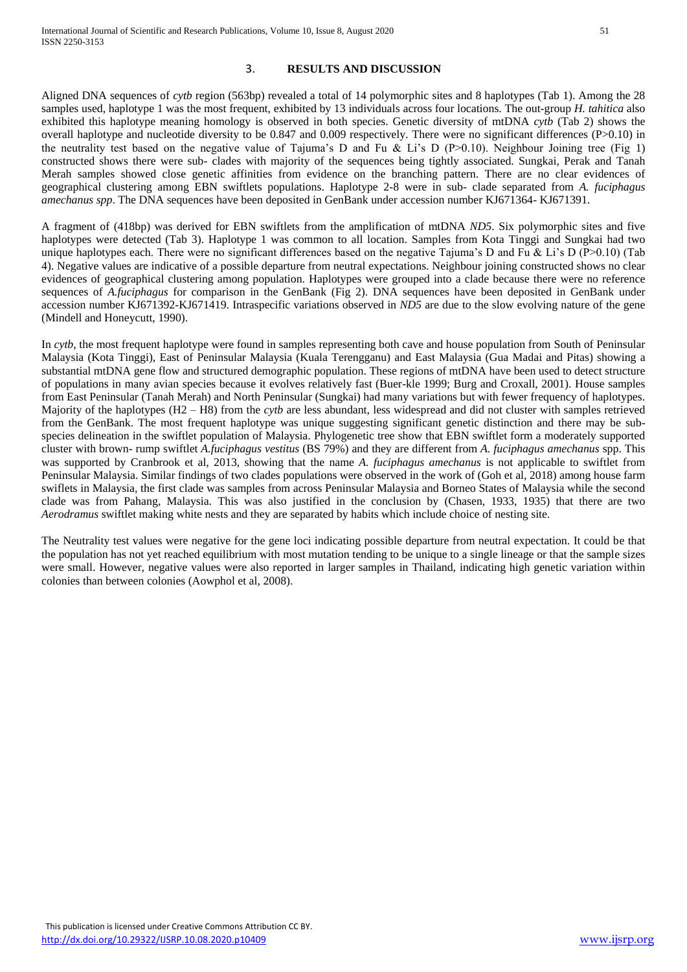### 3. **RESULTS AND DISCUSSION**

Aligned DNA sequences of *cytb* region (563bp) revealed a total of 14 polymorphic sites and 8 haplotypes (Tab 1). Among the 28 samples used, haplotype 1 was the most frequent, exhibited by 13 individuals across four locations. The out-group *H. tahitica* also exhibited this haplotype meaning homology is observed in both species. Genetic diversity of mtDNA *cytb* (Tab 2) shows the overall haplotype and nucleotide diversity to be 0.847 and 0.009 respectively. There were no significant differences (P>0.10) in the neutrality test based on the negative value of Tajuma's D and Fu & Li's D (P>0.10). Neighbour Joining tree (Fig 1) constructed shows there were sub- clades with majority of the sequences being tightly associated. Sungkai, Perak and Tanah Merah samples showed close genetic affinities from evidence on the branching pattern. There are no clear evidences of geographical clustering among EBN swiftlets populations. Haplotype 2-8 were in sub- clade separated from *A. fuciphagus amechanus spp*. The DNA sequences have been deposited in GenBank under accession number KJ671364- KJ671391.

A fragment of (418bp) was derived for EBN swiftlets from the amplification of mtDNA *ND5*. Six polymorphic sites and five haplotypes were detected (Tab 3). Haplotype 1 was common to all location. Samples from Kota Tinggi and Sungkai had two unique haplotypes each. There were no significant differences based on the negative Tajuma's D and Fu & Li's D (P>0.10) (Tab 4). Negative values are indicative of a possible departure from neutral expectations. Neighbour joining constructed shows no clear evidences of geographical clustering among population. Haplotypes were grouped into a clade because there were no reference sequences of *A.fuciphagus* for comparison in the GenBank (Fig 2). DNA sequences have been deposited in GenBank under accession number KJ671392-KJ671419. Intraspecific variations observed in *ND5* are due to the slow evolving nature of the gene (Mindell and Honeycutt, 1990).

In *cytb*, the most frequent haplotype were found in samples representing both cave and house population from South of Peninsular Malaysia (Kota Tinggi), East of Peninsular Malaysia (Kuala Terengganu) and East Malaysia (Gua Madai and Pitas) showing a substantial mtDNA gene flow and structured demographic population. These regions of mtDNA have been used to detect structure of populations in many avian species because it evolves relatively fast (Buer-kle 1999; Burg and Croxall, 2001). House samples from East Peninsular (Tanah Merah) and North Peninsular (Sungkai) had many variations but with fewer frequency of haplotypes. Majority of the haplotypes (H2 – H8) from the *cytb* are less abundant, less widespread and did not cluster with samples retrieved from the GenBank. The most frequent haplotype was unique suggesting significant genetic distinction and there may be subspecies delineation in the swiftlet population of Malaysia. Phylogenetic tree show that EBN swiftlet form a moderately supported cluster with brown- rump swiftlet *A.fuciphagus vestitus* (BS 79%) and they are different from *A. fuciphagus amechanus* spp. This was supported by Cranbrook et al, 2013, showing that the name *A. fuciphagus amechanus* is not applicable to swiftlet from Peninsular Malaysia. Similar findings of two clades populations were observed in the work of (Goh et al, 2018) among house farm swiflets in Malaysia, the first clade was samples from across Peninsular Malaysia and Borneo States of Malaysia while the second clade was from Pahang, Malaysia. This was also justified in the conclusion by (Chasen, 1933, 1935) that there are two *Aerodramus* swiftlet making white nests and they are separated by habits which include choice of nesting site.

The Neutrality test values were negative for the gene loci indicating possible departure from neutral expectation. It could be that the population has not yet reached equilibrium with most mutation tending to be unique to a single lineage or that the sample sizes were small. However, negative values were also reported in larger samples in Thailand, indicating high genetic variation within colonies than between colonies (Aowphol et al, 2008).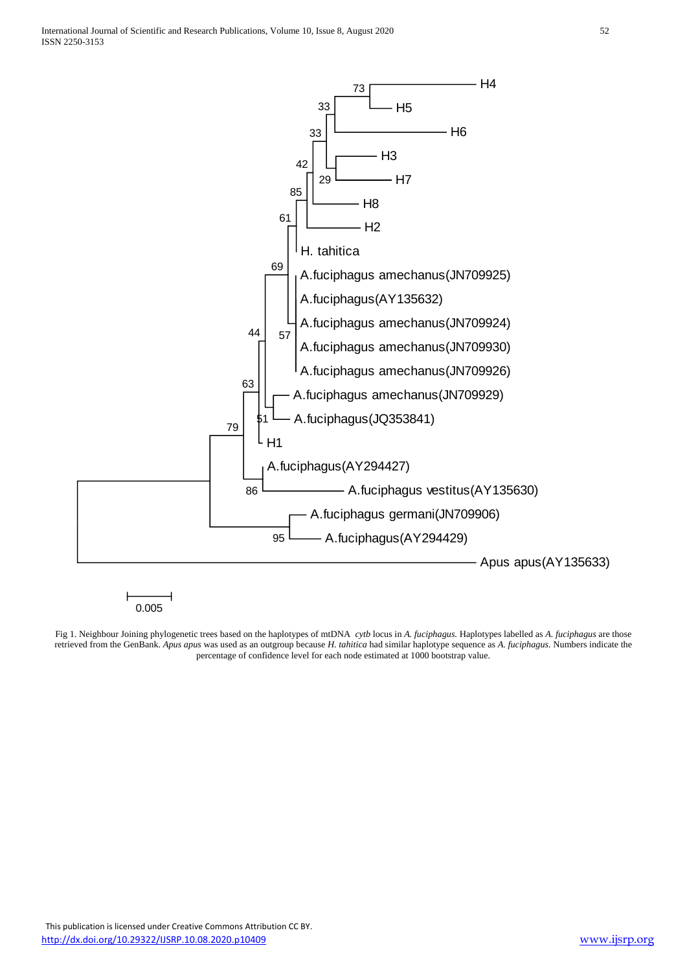International Journal of Scientific and Research Publications, Volume 10, Issue 8, August 2020 52 ISSN 2250-3153



Fig 1. Neighbour Joining phylogenetic trees based on the haplotypes of mtDNA *cytb* locus in *A. fuciphagus.* Haplotypes labelled as *A. fuciphagus* are those retrieved from the GenBank. *Apus apus* was used as an outgroup because *H. tahitica* had similar haplotype sequence as *A. fuciphagus.* Numbers indicate the percentage of confidence level for each node estimated at 1000 bootstrap value.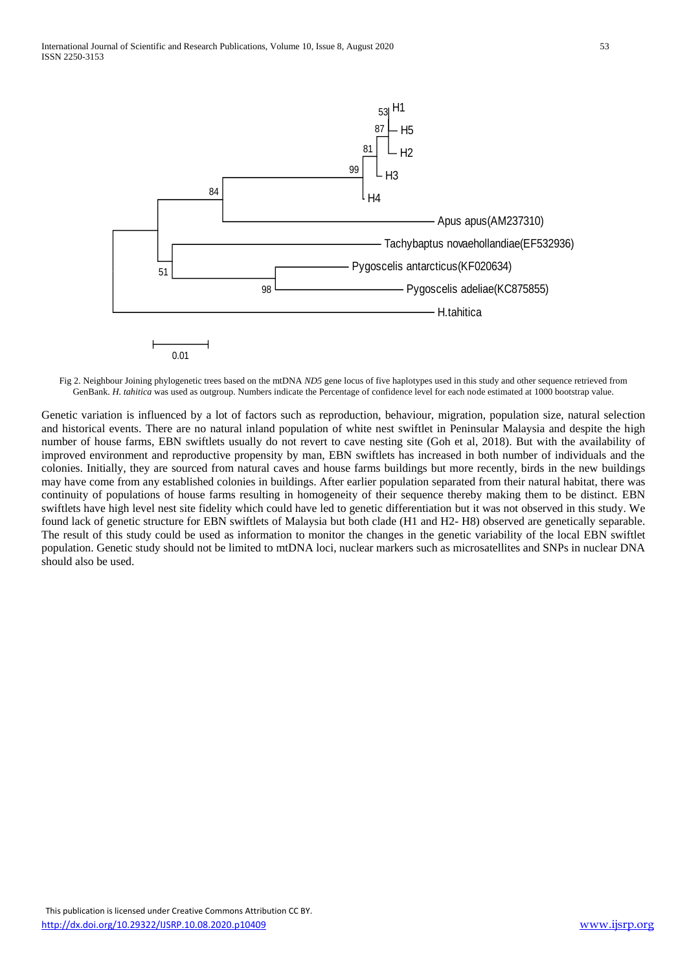

Fig 2. Neighbour Joining phylogenetic trees based on the mtDNA *ND5* gene locus of five haplotypes used in this study and other sequence retrieved from GenBank. *H. tahitica* was used as outgroup. Numbers indicate the Percentage of confidence level for each node estimated at 1000 bootstrap value.

Genetic variation is influenced by a lot of factors such as reproduction, behaviour, migration, population size, natural selection and historical events. There are no natural inland population of white nest swiftlet in Peninsular Malaysia and despite the high number of house farms, EBN swiftlets usually do not revert to cave nesting site (Goh et al, 2018). But with the availability of improved environment and reproductive propensity by man, EBN swiftlets has increased in both number of individuals and the colonies. Initially, they are sourced from natural caves and house farms buildings but more recently, birds in the new buildings may have come from any established colonies in buildings. After earlier population separated from their natural habitat, there was continuity of populations of house farms resulting in homogeneity of their sequence thereby making them to be distinct. EBN swiftlets have high level nest site fidelity which could have led to genetic differentiation but it was not observed in this study. We found lack of genetic structure for EBN swiftlets of Malaysia but both clade (H1 and H2- H8) observed are genetically separable. The result of this study could be used as information to monitor the changes in the genetic variability of the local EBN swiftlet population. Genetic study should not be limited to mtDNA loci, nuclear markers such as microsatellites and SNPs in nuclear DNA should also be used.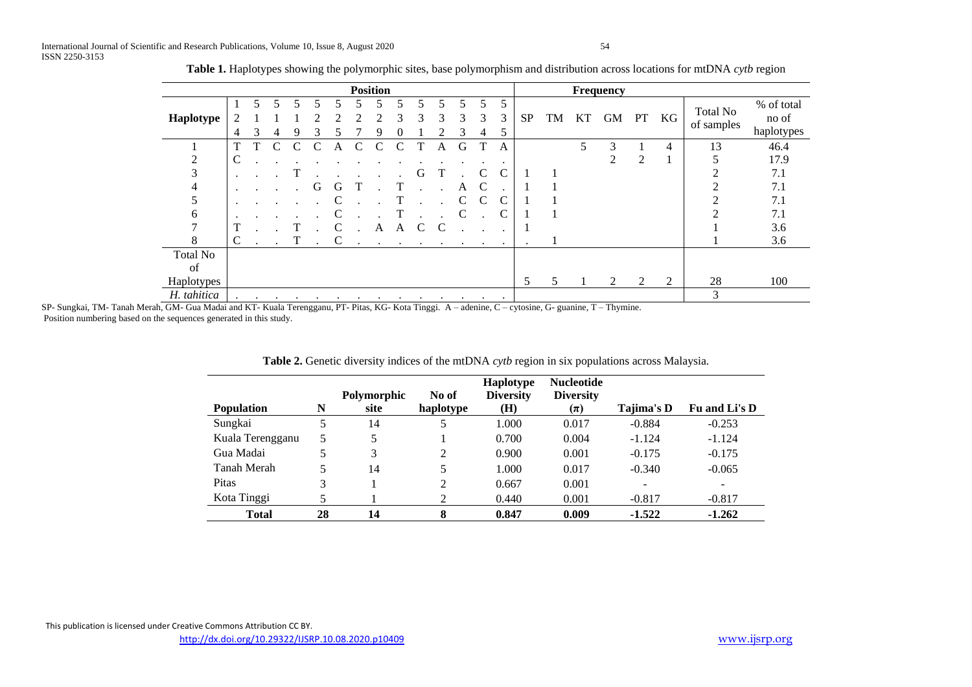|                 |                |    |                      |   |   |              |   | <b>Position</b>      |               |            |           |           |           |         |           |    |    | Frequency      |                |    |                 |            |
|-----------------|----------------|----|----------------------|---|---|--------------|---|----------------------|---------------|------------|-----------|-----------|-----------|---------|-----------|----|----|----------------|----------------|----|-----------------|------------|
|                 |                | 5. |                      |   |   |              |   |                      |               |            |           |           | 5         | 5       |           |    |    |                |                |    |                 | % of total |
| Haplotype       |                |    |                      |   |   |              |   |                      | 3             | 3          | 3         | 3         | 3         | 3       | <b>SP</b> | TM | KT | <b>GM</b>      | PT             | KG | <b>Total No</b> | no of      |
|                 | $\overline{4}$ | 3  | 4                    | 9 | 3 |              |   | 9                    | 0             |            |           | 3         | 4         | 5       |           |    |    |                |                |    | of samples      | haplotypes |
|                 |                |    | С                    | C |   | А            | C | $\mathcal{C}$        | $\mathcal{C}$ |            | A         | G         |           | A       |           |    |    | 3              |                | 4  | 13              | 46.4       |
| 2               | C              |    |                      |   |   |              |   |                      |               |            |           |           |           |         |           |    |    | $\mathfrak{D}$ | $\overline{2}$ |    |                 | 17.9       |
| 3               |                |    |                      |   |   |              |   |                      |               | G          |           |           |           | С       |           |    |    |                |                |    | ◠               | 7.1        |
|                 |                |    |                      |   | G | G            |   |                      | T             |            |           | A         | C         |         |           |    |    |                |                |    |                 | 7.1        |
|                 | ٠              |    |                      |   |   |              |   |                      |               |            |           |           | C         |         |           |    |    |                |                |    |                 | 7.1        |
| 6               |                |    |                      |   |   |              |   |                      |               |            |           |           |           |         |           |    |    |                |                |    |                 | 7.1        |
|                 |                |    |                      |   |   | C            |   | A                    | A             |            |           |           |           |         |           |    |    |                |                |    |                 | 3.6        |
| 8               | C              |    |                      | T |   | $\mathsf{C}$ |   | $\ddot{\phantom{1}}$ | $\bullet$     | $\sim 100$ | $\bullet$ |           |           |         | $\cdot$   |    |    |                |                |    |                 | 3.6        |
| <b>Total No</b> |                |    |                      |   |   |              |   |                      |               |            |           |           |           |         |           |    |    |                |                |    |                 |            |
| of              |                |    |                      |   |   |              |   |                      |               |            |           |           |           |         |           |    |    |                |                |    |                 |            |
| Haplotypes      |                |    |                      |   |   |              |   |                      |               |            |           |           |           |         | 5         |    |    | $\overline{2}$ | 2              | 2  | 28              | 100        |
| H. tahitica     | $\cdot$        |    | $\ddot{\phantom{1}}$ |   |   |              |   |                      | $\bullet$     |            | ٠         | $\bullet$ | $\bullet$ | $\cdot$ |           |    |    |                |                |    | 3               |            |

**Table 1.** Haplotypes showing the polymorphic sites, base polymorphism and distribution across locations for mtDNA *cytb* region

SP- Sungkai, TM- Tanah Merah, GM- Gua Madai and KT- Kuala Terengganu, PT- Pitas, KG- Kota Tinggi. A – adenine, C – cytosine, G- guanine, T – Thymine. Position numbering based on the sequences generated in this study.

| <b>Population</b> | N  | Polymorphic<br>site | No of<br>haplotype | Haplotype<br><b>Diversity</b><br>(H) | <b>Nucleotide</b><br><b>Diversity</b><br>$(\pi)$ | Tajima's D | Fu and Li's D |
|-------------------|----|---------------------|--------------------|--------------------------------------|--------------------------------------------------|------------|---------------|
| Sungkai           | 5  | 14                  | 5                  | 1.000                                | 0.017                                            | $-0.884$   | $-0.253$      |
| Kuala Terengganu  | 5  | 5                   |                    | 0.700                                | 0.004                                            | $-1.124$   | $-1.124$      |
| Gua Madai         | 5. | 3                   | 2                  | 0.900                                | 0.001                                            | $-0.175$   | $-0.175$      |
| Tanah Merah       | 5  | 14                  | 5                  | 1.000                                | 0.017                                            | $-0.340$   | $-0.065$      |
| Pitas             | 3  |                     | 2                  | 0.667                                | 0.001                                            |            |               |
| Kota Tinggi       | 5  |                     |                    | 0.440                                | 0.001                                            | $-0.817$   | $-0.817$      |
| <b>Total</b>      | 28 | 14                  | 8                  | 0.847                                | 0.009                                            | $-1.522$   | $-1.262$      |

**Table 2.** Genetic diversity indices of the mtDNA *cytb* region in six populations across Malaysia.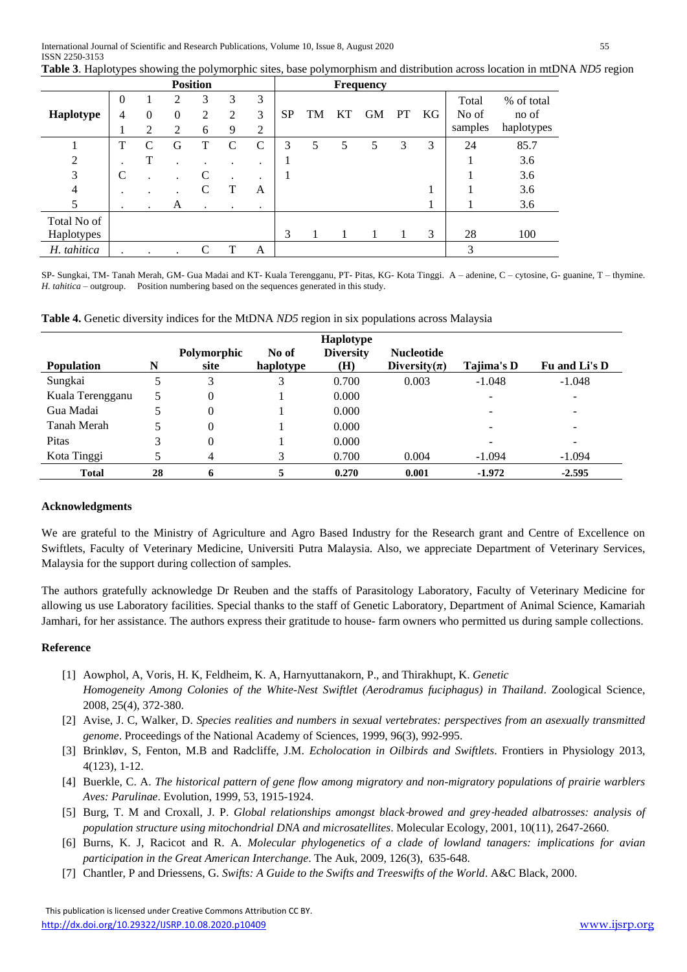|                           |               |               |                    | <b>Position</b> |             |             |           |    |    | <b>Frequency</b> |           |    |                           |                                   |
|---------------------------|---------------|---------------|--------------------|-----------------|-------------|-------------|-----------|----|----|------------------|-----------|----|---------------------------|-----------------------------------|
| Haplotype                 | $\theta$<br>4 | $\Omega$<br>2 | 2<br>$\theta$<br>2 | 3<br>2<br>6     | 3<br>2<br>9 | 3<br>3<br>2 | <b>SP</b> | TM | KT | <b>GM</b>        | <b>PT</b> | KG | Total<br>No of<br>samples | % of total<br>no of<br>haplotypes |
|                           | T             | C             | G                  |                 | C           | C           | 3         | 5  | 5  | 5                | 3         | 3  | 24                        | 85.7                              |
| $\overline{2}$            |               | T             |                    |                 |             | ٠           |           |    |    |                  |           |    |                           | 3.6                               |
| 3                         | C             |               |                    | C               |             | ٠           |           |    |    |                  |           |    |                           | 3.6                               |
| 4                         | ٠             |               |                    |                 |             | A           |           |    |    |                  |           |    |                           | 3.6                               |
| 5                         | $\bullet$     | $\bullet$     | A                  | $\bullet$       | $\cdot$     | ٠           |           |    |    |                  |           |    |                           | 3.6                               |
| Total No of<br>Haplotypes |               |               |                    |                 |             |             | 3         |    |    |                  |           | 3  | 28                        | 100                               |
| H. tahitica               |               |               |                    |                 |             | A           |           |    |    |                  |           |    | 3                         |                                   |

SP- Sungkai, TM- Tanah Merah, GM- Gua Madai and KT- Kuala Terengganu, PT- Pitas, KG- Kota Tinggi. A – adenine, C – cytosine, G- guanine, T – thymine. *H. tahitica* – outgroup. Position numbering based on the sequences generated in this study.

|  |  |  |  |  |  | Table 4. Genetic diversity indices for the MtDNA ND5 region in six populations across Malaysia |
|--|--|--|--|--|--|------------------------------------------------------------------------------------------------|
|  |  |  |  |  |  |                                                                                                |

|                   |    |             |           | Haplotype        |                   |            |                          |
|-------------------|----|-------------|-----------|------------------|-------------------|------------|--------------------------|
|                   |    | Polymorphic | No of     | <b>Diversity</b> | <b>Nucleotide</b> |            |                          |
| <b>Population</b> | N  | site        | haplotype | (H)              | Diversity $(\pi)$ | Tajima's D | Fu and Li's D            |
| Sungkai           |    | 3           | 3         | 0.700            | 0.003             | $-1.048$   | $-1.048$                 |
| Kuala Terengganu  |    | 0           |           | 0.000            |                   |            | $\overline{\phantom{0}}$ |
| Gua Madai         |    | 0           |           | 0.000            |                   |            | $\overline{\phantom{0}}$ |
| Tanah Merah       |    | $\Omega$    |           | 0.000            |                   |            | -                        |
| Pitas             | 3  | 0           |           | 0.000            |                   |            | -                        |
| Kota Tinggi       |    | 4           | 3         | 0.700            | 0.004             | $-1.094$   | $-1.094$                 |
| <b>Total</b>      | 28 | 6           | 5         | 0.270            | 0.001             | $-1.972$   | $-2.595$                 |

#### **Acknowledgments**

We are grateful to the Ministry of Agriculture and Agro Based Industry for the Research grant and Centre of Excellence on Swiftlets, Faculty of Veterinary Medicine, Universiti Putra Malaysia. Also, we appreciate Department of Veterinary Services, Malaysia for the support during collection of samples.

The authors gratefully acknowledge Dr Reuben and the staffs of Parasitology Laboratory, Faculty of Veterinary Medicine for allowing us use Laboratory facilities. Special thanks to the staff of Genetic Laboratory, Department of Animal Science, Kamariah Jamhari, for her assistance. The authors express their gratitude to house- farm owners who permitted us during sample collections.

#### **Reference**

- [1] Aowphol, A, Voris, H. K, Feldheim, K. A, Harnyuttanakorn, P., and Thirakhupt, K. *Genetic Homogeneity Among Colonies of the White-Nest Swiftlet (Aerodramus fuciphagus) in Thailand*. Zoological Science, 2008, 25(4), 372-380.
- [2] Avise, J. C, Walker, D. *Species realities and numbers in sexual vertebrates: perspectives from an asexually transmitted genome*. Proceedings of the National Academy of Sciences, 1999, 96(3), 992-995.
- [3] Brinkløv, S, Fenton, M.B and Radcliffe, J.M. *Echolocation in Oilbirds and Swiftlets*. Frontiers in Physiology 2013, 4(123), 1-12.
- [4] Buerkle, C. A. *The historical pattern of gene flow among migratory and non-migratory populations of prairie warblers Aves: Parulinae*. Evolution, 1999, 53, 1915-1924.
- [5] Burg, T. M and Croxall, J. P. *Global relationships amongst black*‐*browed and grey*‐*headed albatrosses: analysis of population structure using mitochondrial DNA and microsatellites*. Molecular Ecology, 2001, 10(11), 2647-2660.
- [6] Burns, K. J, Racicot and R. A. *Molecular phylogenetics of a clade of lowland tanagers: implications for avian participation in the Great American Interchange*. The Auk, 2009, 126(3), 635-648.
- [7] Chantler, P and Driessens, G. *Swifts: A Guide to the Swifts and Treeswifts of the World*. A&C Black, 2000.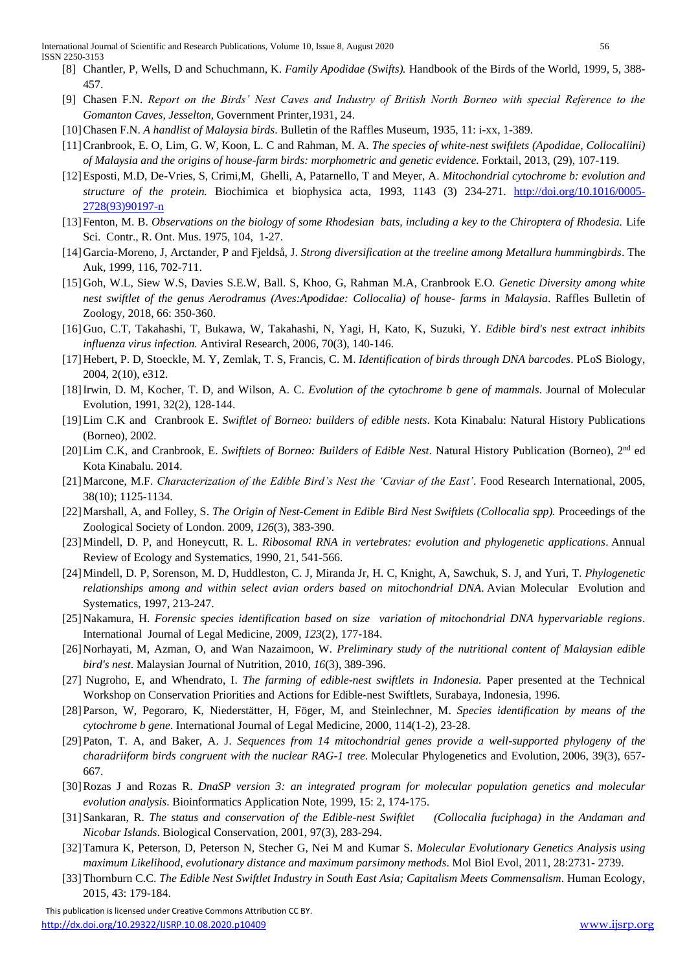- [8] Chantler, P, Wells, D and Schuchmann, K. *Family Apodidae (Swifts).* Handbook of the Birds of the World, 1999, 5, 388- 457.
- [9] Chasen F.N. *Report on the Birds' Nest Caves and Industry of British North Borneo with special Reference to the Gomanton Caves, Jesselton*, Government Printer,1931, 24.
- [10]Chasen F.N. *A handlist of Malaysia birds*. Bulletin of the Raffles Museum, 1935, 11: i-xx, 1-389.
- [11]Cranbrook, E. O, Lim, G. W, Koon, L. C and Rahman, M. A. *The species of white-nest swiftlets (Apodidae, Collocaliini) of Malaysia and the origins of house-farm birds: morphometric and genetic evidence.* Forktail, 2013, (29), 107-119.
- [12]Esposti, M.D, De-Vries, S, Crimi,M, Ghelli, A, Patarnello, T and Meyer, A. *Mitochondrial cytochrome b: evolution and structure of the protein.* Biochimica et biophysica acta, 1993, 1143 (3) 234-271. [http://doi.org/10.1016/0005-](http://doi.org/10.1016/0005-2728(93)90197-n) [2728\(93\)90197-n](http://doi.org/10.1016/0005-2728(93)90197-n)
- [13]Fenton, M. B. *Observations on the biology of some Rhodesian bats, including a key to the Chiroptera of Rhodesia.* Life Sci. Contr., R. Ont. Mus. 1975, 104, 1-27.
- [14]Garcia-Moreno, J, Arctander, P and Fjeldså, J. *Strong diversification at the treeline among Metallura hummingbirds*. The Auk, 1999, 116, 702-711.
- [15]Goh, W.L, Siew W.S, Davies S.E.W, Ball. S, Khoo, G, Rahman M.A, Cranbrook E.O*. Genetic Diversity among white nest swiftlet of the genus Aerodramus (Aves:Apodidae: Collocalia) of house- farms in Malaysia*. Raffles Bulletin of Zoology, 2018, 66: 350-360.
- [16]Guo, C.T, Takahashi, T, Bukawa, W, Takahashi, N, Yagi, H, Kato, K, Suzuki, Y. *Edible bird's nest extract inhibits influenza virus infection.* Antiviral Research, 2006, 70(3), 140-146.
- [17]Hebert, P. D, Stoeckle, M. Y, Zemlak, T. S, Francis, C. M. *Identification of birds through DNA barcodes*. PLoS Biology, 2004, 2(10), e312.
- [18]Irwin, D. M, Kocher, T. D, and Wilson, A. C. *Evolution of the cytochrome b gene of mammals*. Journal of Molecular Evolution, 1991, 32(2), 128-144.
- [19]Lim C.K and Cranbrook E. *Swiftlet of Borneo: builders of edible nests*. Kota Kinabalu: Natural History Publications (Borneo), 2002.
- [20] Lim C.K, and Cranbrook, E. *Swiftlets of Borneo: Builders of Edible Nest*. Natural History Publication (Borneo), 2<sup>nd</sup> ed Kota Kinabalu. 2014.
- [21]Marcone, M.F. *Characterization of the Edible Bird's Nest the 'Caviar of the East'*. Food Research International, 2005, 38(10); 1125-1134.
- [22]Marshall, A, and Folley, S. *The Origin of Nest-Cement in Edible Bird Nest Swiftlets (Collocalia spp).* Proceedings of the Zoological Society of London. 2009, *126*(3), 383-390.
- [23]Mindell, D. P, and Honeycutt, R. L. *Ribosomal RNA in vertebrates: evolution and phylogenetic applications*. Annual Review of Ecology and Systematics, 1990, 21, 541-566.
- [24]Mindell, D. P, Sorenson, M. D, Huddleston, C. J, Miranda Jr, H. C, Knight, A, Sawchuk, S. J, and Yuri, T. *Phylogenetic relationships among and within select avian orders based on mitochondrial DNA*. Avian Molecular Evolution and Systematics, 1997, 213-247.
- [25]Nakamura, H. *Forensic species identification based on size variation of mitochondrial DNA hypervariable regions*. International Journal of Legal Medicine*,* 2009, *123*(2), 177-184.
- [26]Norhayati, M, Azman, O, and Wan Nazaimoon, W. *Preliminary study of the nutritional content of Malaysian edible bird's nest*. Malaysian Journal of Nutrition*,* 2010, *16*(3), 389-396.
- [27] Nugroho, E, and Whendrato, I. *The farming of edible-nest swiftlets in Indonesia.* Paper presented at the Technical Workshop on Conservation Priorities and Actions for Edible-nest Swiftlets, Surabaya, Indonesia, 1996.
- [28]Parson, W, Pegoraro, K, Niederstätter, H, Föger, M, and Steinlechner, M. *Species identification by means of the cytochrome b gene*. International Journal of Legal Medicine, 2000, 114(1-2), 23-28.
- [29]Paton, T. A, and Baker, A. J. *Sequences from 14 mitochondrial genes provide a well-supported phylogeny of the charadriiform birds congruent with the nuclear RAG-1 tree*. Molecular Phylogenetics and Evolution, 2006, 39(3), 657- 667.
- [30]Rozas J and Rozas R. *DnaSP version 3: an integrated program for molecular population genetics and molecular evolution analysis*. Bioinformatics Application Note, 1999, 15: 2, 174-175.
- [31]Sankaran, R. *The status and conservation of the Edible-nest Swiftlet (Collocalia fuciphaga) in the Andaman and Nicobar Islands*. Biological Conservation, 2001, 97(3), 283-294.
- [32]Tamura K, Peterson, D, Peterson N, Stecher G, Nei M and Kumar S. *Molecular Evolutionary Genetics Analysis using maximum Likelihood, evolutionary distance and maximum parsimony methods*. Mol Biol Evol, 2011, 28:2731- 2739.
- [33]Thornburn C.C. *The Edible Nest Swiftlet Industry in South East Asia; Capitalism Meets Commensalism*. Human Ecology, 2015, 43: 179-184.